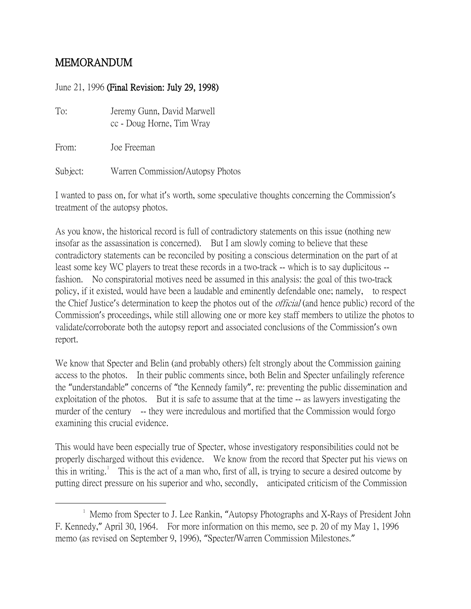## MEMORANDUM

## June 21, 1996 (Final Revision: July 29, 1998)

| To:      | Jeremy Gunn, David Marwell<br>cc - Doug Horne, Tim Wray |
|----------|---------------------------------------------------------|
| From:    | Joe Freeman                                             |
| Subject: | Warren Commission/Autopsy Photos                        |

I wanted to pass on, for what it's worth, some speculative thoughts concerning the Commission's treatment of the autopsy photos.

As you know, the historical record is full of contradictory statements on this issue (nothing new insofar as the assassination is concerned). But I am slowly coming to believe that these contradictory statements can be reconciled by positing a conscious determination on the part of at least some key WC players to treat these records in a two-track -- which is to say duplicitous - fashion. No conspiratorial motives need be assumed in this analysis: the goal of this two-track policy, if it existed, would have been a laudable and eminently defendable one; namely, to respect the Chief Justice's determination to keep the photos out of the *official* (and hence public) record of the Commission's proceedings, while still allowing one or more key staff members to utilize the photos to validate/corroborate both the autopsy report and associated conclusions of the Commission's own report.

We know that Specter and Belin (and probably others) felt strongly about the Commission gaining access to the photos. In their public comments since, both Belin and Specter unfailingly reference the "understandable" concerns of "the Kennedy family", re: preventing the public dissemination and exploitation of the photos. But it is safe to assume that at the time -- as lawyers investigating the murder of the century -- they were incredulous and mortified that the Commission would forgo examining this crucial evidence.

This would have been especially true of Specter, whose investigatory responsibilities could not be properly discharged without this evidence. We know from the record that Specter put his views on this in writing.<sup>[1](#page-0-0)</sup> This is the act of a man who, first of all, is trying to secure a desired outcome by putting direct pressure on his superior and who, secondly, anticipated criticism of the Commission

<span id="page-0-0"></span> $\overline{\phantom{a}}$  $^1$  Memo from Specter to J. Lee Rankin, "Autopsy Photographs and X-Rays of President John F. Kennedy," April 30, 1964. For more information on this memo, see p. 20 of my May 1, 1996 memo (as revised on September 9, 1996), "Specter/Warren Commission Milestones."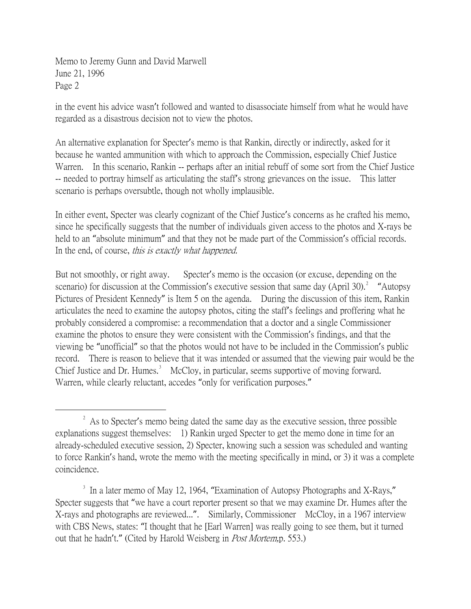in the event his advice wasn't followed and wanted to disassociate himself from what he would have regarded as a disastrous decision not to view the photos.

An alternative explanation for Specter's memo is that Rankin, directly or indirectly, asked for it because he wanted ammunition with which to approach the Commission, especially Chief Justice Warren. In this scenario, Rankin -- perhaps after an initial rebuff of some sort from the Chief Justice -- needed to portray himself as articulating the staff's strong grievances on the issue. This latter scenario is perhaps oversubtle, though not wholly implausible.

In either event, Specter was clearly cognizant of the Chief Justice's concerns as he crafted his memo, since he specifically suggests that the number of individuals given access to the photos and X-rays be held to an "absolute minimum" and that they not be made part of the Commission's official records. In the end, of course, this is exactly what happened.

But not smoothly, or right away. Specter's memo is the occasion (or excuse, depending on the scenario) for discussion at the Commission's executive session that same day (April 30).<sup>[2](#page-1-0)</sup> "Autopsy Pictures of President Kennedy" is Item 5 on the agenda. During the discussion of this item, Rankin articulates the need to examine the autopsy photos, citing the staff's feelings and proffering what he probably considered a compromise: a recommendation that a doctor and a single Commissioner examine the photos to ensure they were consistent with the Commission's findings, and that the viewing be "unofficial" so that the photos would not have to be included in the Commission's public record. There is reason to believe that it was intended or assumed that the viewing pair would be the Chief Justice and Dr. Humes. $3$  McCloy, in particular, seems supportive of moving forward. Warren, while clearly reluctant, accedes "only for verification purposes."

<span id="page-1-0"></span> $\overline{\phantom{a}}$  2 <sup>2</sup> As to Specter's memo being dated the same day as the executive session, three possible explanations suggest themselves: 1) Rankin urged Specter to get the memo done in time for an already-scheduled executive session, 2) Specter, knowing such a session was scheduled and wanting to force Rankin's hand, wrote the memo with the meeting specifically in mind, or 3) it was a complete coincidence.

<span id="page-1-1"></span><sup>&</sup>lt;sup>3</sup> In a later memo of May 12, 1964, "Examination of Autopsy Photographs and X-Rays," Specter suggests that "we have a court reporter present so that we may examine Dr. Humes after the X-rays and photographs are reviewed...". Similarly, Commissioner McCloy, in a 1967 interview with CBS News, states: "I thought that he [Earl Warren] was really going to see them, but it turned out that he hadn't." (Cited by Harold Weisberg in Post Mortem,p. 553.)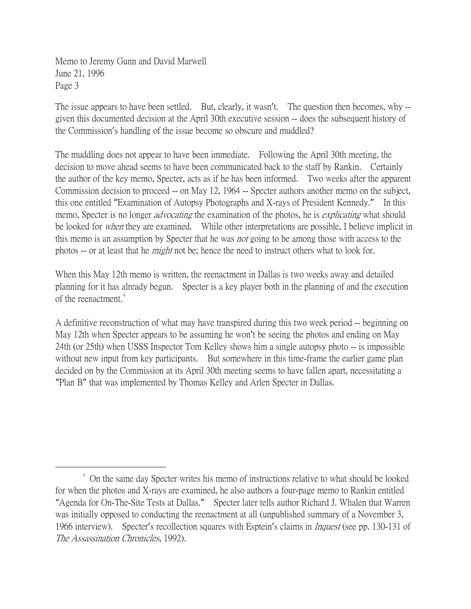The issue appears to have been settled. But, clearly, it wasn't. The question then becomes, why-given this documented decision at the April 30th executive session -- does the subsequent history of the Commission's handling of the issue become so obscure and muddled?

The muddling does not appear to have been immediate. Following the April 30th meeting, the decision to move ahead seems to have been communicated back to the staff by Rankin. Certainly the author of the key memo, Specter, acts as if he has been informed. Two weeks after the apparent Commission decision to proceed -- on May 12, 1964 -- Specter authors another memo on the subject, this one entitled "Examination of Autopsy Photographs and X-rays of President Kennedy." In this memo, Specter is no longer *advocating* the examination of the photos, he is *explicating* what should be looked for *when* they are examined. While other interpretations are possible, I believe implicit in this memo is an assumption by Specter that he was *not* going to be among those with access to the photos -- or at least that he *might* not be; hence the need to instruct others what to look for.

When this May 12th memo is written, the reenactment in Dallas is two weeks away and detailed planning for it has already begun. Specter is a key player both in the planning of and the execution of the reenactment.<sup>[4](#page-2-0)</sup>

A definitive reconstruction of what may have transpired during this two week period -- beginning on May 12th when Specter appears to be assuming he won't be seeing the photos and ending on May 24th (or 25th) when USSS Inspector Tom Kelley shows him a single autopsy photo -- is impossible without new input from key participants. But somewhere in this time-frame the earlier game plan decided on by the Commission at its April 30th meeting seems to have fallen apart, necessitating a "Plan B" that was implemented by Thomas Kelley and Arlen Specter in Dallas.

<span id="page-2-0"></span><sup>&</sup>lt;sup>4</sup> On the same day Specter writes his memo of instructions relative to what should be looked for when the photos and X-rays are examined, he also authors a four-page memo to Rankin entitled "Agenda for On-The-Site Tests at Dallas." Specter later tells author Richard J. Whalen that Warren was initially opposed to conducting the reenactment at all (unpublished summary of a November 3, 1966 interview). Specter's recollection squares with Esptein's claims in *Inquest* (see pp. 130-131 of The Assassination Chronicles, 1992).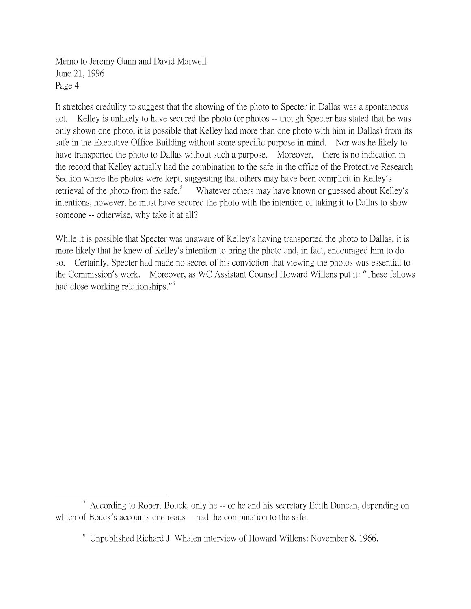It stretches credulity to suggest that the showing of the photo to Specter in Dallas was a spontaneous act. Kelley is unlikely to have secured the photo (or photos -- though Specter has stated that he was only shown one photo, it is possible that Kelley had more than one photo with him in Dallas) from its safe in the Executive Office Building without some specific purpose in mind. Nor was he likely to have transported the photo to Dallas without such a purpose. Moreover, there is no indication in the record that Kelley actually had the combination to the safe in the office of the Protective Research Section where the photos were kept, suggesting that others may have been complicit in Kelley's retrieval of the photo from the safe.<sup>[5](#page-3-0)</sup> Whatever others may have known or guessed about Kelley's intentions, however, he must have secured the photo with the intention of taking it to Dallas to show someone -- otherwise, why take it at all?

While it is possible that Specter was unaware of Kelley's having transported the photo to Dallas, it is more likely that he knew of Kelley's intention to bring the photo and, in fact, encouraged him to do so. Certainly, Specter had made no secret of his conviction that viewing the photos was essential to the Commission's work. Moreover, as WC Assistant Counsel Howard Willens put it: "These fellows had close working relationships."<sup>[6](#page-3-1)</sup>

<span id="page-3-1"></span><span id="page-3-0"></span> $\frac{1}{5}$  $\frac{1}{2}$  According to Robert Bouck, only he -- or he and his secretary Edith Duncan, depending on which of Bouck's accounts one reads -- had the combination to the safe.

<sup>6</sup> Unpublished Richard J. Whalen interview of Howard Willens: November 8, 1966.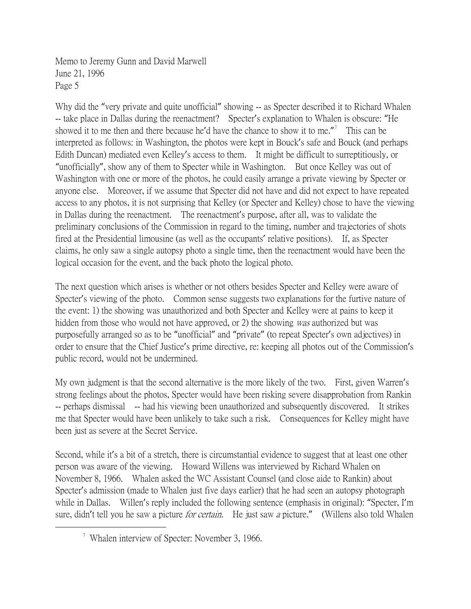Why did the "very private and quite unofficial" showing -- as Specter described it to Richard Whalen -- take place in Dallas during the reenactment? Specter's explanation to Whalen is obscure: "He showed it to me then and there because he'd have the chance to show it to me." This can be interpreted as follows: in Washington, the photos were kept in Bouck's safe and Bouck (and perhaps Edith Duncan) mediated even Kelley's access to them. It might be difficult to surreptitiously, or "unofficially", show any of them to Specter while in Washington. But once Kelley was out of Washington with one or more of the photos, he could easily arrange a private viewing by Specter or anyone else. Moreover, if we assume that Specter did not have and did not expect to have repeated access to any photos, it is not surprising that Kelley (or Specter and Kelley) chose to have the viewing in Dallas during the reenactment. The reenactment's purpose, after all, was to validate the preliminary conclusions of the Commission in regard to the timing, number and trajectories of shots fired at the Presidential limousine (as well as the occupants' relative positions). If, as Specter claims, he only saw a single autopsy photo a single time, then the reenactment would have been the logical occasion for the event, and the back photo the logical photo.

The next question which arises is whether or not others besides Specter and Kelley were aware of Specter's viewing of the photo. Common sense suggests two explanations for the furtive nature of the event: 1) the showing was unauthorized and both Specter and Kelley were at pains to keep it hidden from those who would not have approved, or 2) the showing was authorized but was purposefully arranged so as to be "unofficial" and "private" (to repeat Specter's own adjectives) in order to ensure that the Chief Justice's prime directive, re: keeping all photos out of the Commission's public record, would not be undermined.

My own judgment is that the second alternative is the more likely of the two. First, given Warren's strong feelings about the photos, Specter would have been risking severe disapprobation from Rankin -- perhaps dismissal -- had his viewing been unauthorized and subsequently discovered. It strikes me that Specter would have been unlikely to take such a risk. Consequences for Kelley might have been just as severe at the Secret Service.

Second, while it's a bit of a stretch, there is circumstantial evidence to suggest that at least one other person was aware of the viewing. Howard Willens was interviewed by Richard Whalen on November 8, 1966. Whalen asked the WC Assistant Counsel (and close aide to Rankin) about Specter's admission (made to Whalen just five days earlier) that he had seen an autopsy photograph while in Dallas. Willen's reply included the following sentence (emphasis in original): "Specter, I'm sure, didn't tell you he saw a picture *for certain*. He just saw a picture." (Willens also told Whalen

<span id="page-4-0"></span><sup>&</sup>lt;sup>7</sup> Whalen interview of Specter: November 3, 1966.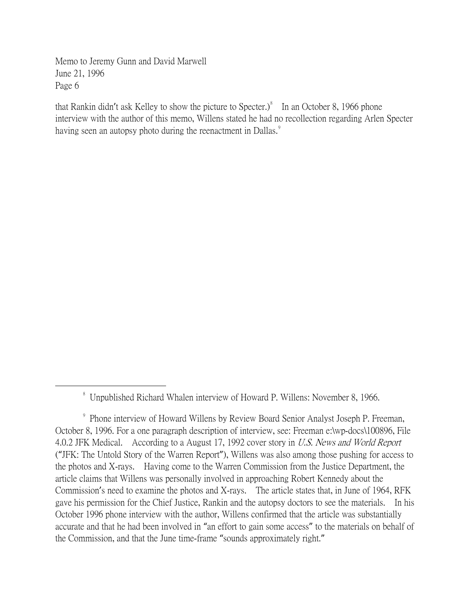that Rankin didn't ask Kelley to show the picture to Specter.) $\delta$  In an October [8](#page-5-0), 1966 phone interview with the author of this memo, Willens stated he had no recollection regarding Arlen Specter having seen an autopsy photo during the reenactment in Dallas.<sup>[9](#page-5-1)</sup>

<span id="page-5-0"></span> <sup>8</sup> Unpublished Richard Whalen interview of Howard P. Willens: November 8, 1966.

<span id="page-5-1"></span><sup>9</sup> Phone interview of Howard Willens by Review Board Senior Analyst Joseph P. Freeman, October 8, 1996. For a one paragraph description of interview, see: Freeman e:\wp-docs\100896, File 4.0.2 JFK Medical. According to a August 17, 1992 cover story in U.S. News and World Report ("JFK: The Untold Story of the Warren Report"), Willens was also among those pushing for access to the photos and X-rays. Having come to the Warren Commission from the Justice Department, the article claims that Willens was personally involved in approaching Robert Kennedy about the Commission's need to examine the photos and X-rays. The article states that, in June of 1964, RFK gave his permission for the Chief Justice, Rankin and the autopsy doctors to see the materials. In his October 1996 phone interview with the author, Willens confirmed that the article was substantially accurate and that he had been involved in "an effort to gain some access" to the materials on behalf of the Commission, and that the June time-frame "sounds approximately right."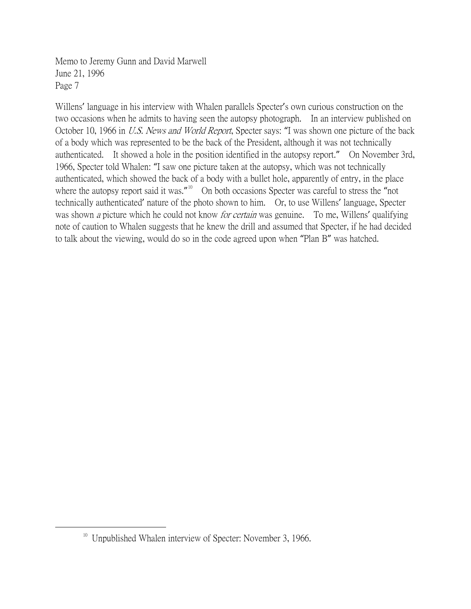Willens' language in his interview with Whalen parallels Specter's own curious construction on the two occasions when he admits to having seen the autopsy photograph. In an interview published on October 10, 1966 in *U.S. News and World Report*, Specter says: "I was shown one picture of the back of a body which was represented to be the back of the President, although it was not technically authenticated. It showed a hole in the position identified in the autopsy report." On November 3rd, 1966, Specter told Whalen: "I saw one picture taken at the autopsy, which was not technically authenticated, which showed the back of a body with a bullet hole, apparently of entry, in the place where the autopsy report said it was." $10$  On both occasions Specter was careful to stress the "not technically authenticated' nature of the photo shown to him. Or, to use Willens' language, Specter was shown *a* picture which he could not know *for certain* was genuine. To me, Willens' qualifying note of caution to Whalen suggests that he knew the drill and assumed that Specter, if he had decided to talk about the viewing, would do so in the code agreed upon when "Plan B" was hatched.

<span id="page-6-0"></span><sup>&</sup>lt;sup>10</sup> Unpublished Whalen interview of Specter: November 3, 1966.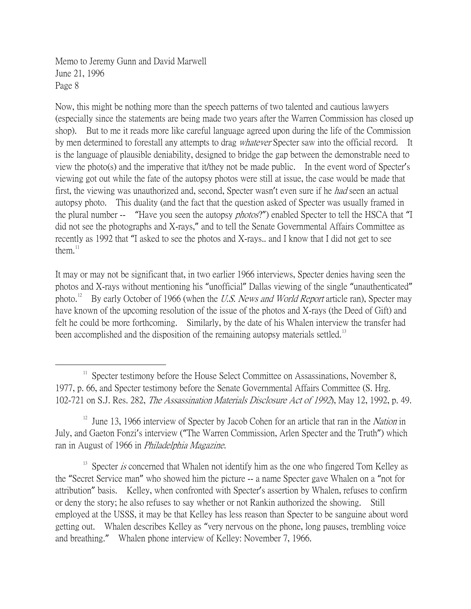Now, this might be nothing more than the speech patterns of two talented and cautious lawyers (especially since the statements are being made two years after the Warren Commission has closed up shop). But to me it reads more like careful language agreed upon during the life of the Commission by men determined to forestall any attempts to drag *whatever* Specter saw into the official record. It is the language of plausible deniability, designed to bridge the gap between the demonstrable need to view the photo(s) and the imperative that it/they not be made public. In the event word of Specter's viewing got out while the fate of the autopsy photos were still at issue, the case would be made that first, the viewing was unauthorized and, second, Specter wasn't even sure if he *had* seen an actual autopsy photo. This duality (and the fact that the question asked of Specter was usually framed in the plural number -- "Have you seen the autopsy *photos?"*) enabled Specter to tell the HSCA that "I did not see the photographs and X-rays," and to tell the Senate Governmental Affairs Committee as recently as 1992 that "I asked to see the photos and X-rays.. and I know that I did not get to see them. $11$ 

It may or may not be significant that, in two earlier 1966 interviews, Specter denies having seen the photos and X-rays without mentioning his "unofficial" Dallas viewing of the single "unauthenticated" photo.<sup>[12](#page-7-1)</sup> By early October of 1966 (when the *U.S. News and World Report* article ran), Specter may have known of the upcoming resolution of the issue of the photos and X-rays (the Deed of Gift) and felt he could be more forthcoming. Similarly, by the date of his Whalen interview the transfer had been accomplished and the disposition of the remaining autopsy materials settled.<sup>[13](#page-7-2)</sup>

<span id="page-7-2"></span><sup>13</sup> Specter *is* concerned that Whalen not identify him as the one who fingered Tom Kelley as the "Secret Service man" who showed him the picture -- a name Specter gave Whalen on a "not for attribution" basis. Kelley, when confronted with Specter's assertion by Whalen, refuses to confirm or deny the story; he also refuses to say whether or not Rankin authorized the showing. Still employed at the USSS, it may be that Kelley has less reason than Specter to be sanguine about word getting out. Whalen describes Kelley as "very nervous on the phone, long pauses, trembling voice and breathing." Whalen phone interview of Kelley: November 7, 1966.

<span id="page-7-0"></span><sup>&</sup>lt;sup>11</sup> Specter testimony before the House Select Committee on Assassinations, November 8, 1977, p. 66, and Specter testimony before the Senate Governmental Affairs Committee (S. Hrg. 102-721 on S.J. Res. 282, The Assassination Materials Disclosure Act of 1992), May 12, 1992, p. 49.

<span id="page-7-1"></span><sup>&</sup>lt;sup>12</sup> June 13, 1966 interview of Specter by Jacob Cohen for an article that ran in the *Nation* in July, and Gaeton Fonzi's interview ("The Warren Commission, Arlen Specter and the Truth") which ran in August of 1966 in Philadelphia Magazine.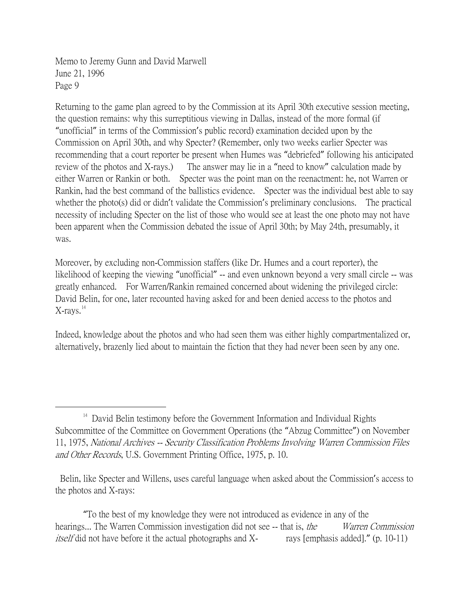Returning to the game plan agreed to by the Commission at its April 30th executive session meeting, the question remains: why this surreptitious viewing in Dallas, instead of the more formal (if "unofficial" in terms of the Commission's public record) examination decided upon by the Commission on April 30th, and why Specter? (Remember, only two weeks earlier Specter was recommending that a court reporter be present when Humes was "debriefed" following his anticipated review of the photos and X-rays.) The answer may lie in a "need to know" calculation made by either Warren or Rankin or both. Specter was the point man on the reenactment: he, not Warren or Rankin, had the best command of the ballistics evidence. Specter was the individual best able to say whether the photo(s) did or didn't validate the Commission's preliminary conclusions. The practical necessity of including Specter on the list of those who would see at least the one photo may not have been apparent when the Commission debated the issue of April 30th; by May 24th, presumably, it was.

Moreover, by excluding non-Commission staffers (like Dr. Humes and a court reporter), the likelihood of keeping the viewing "unofficial" -- and even unknown beyond a very small circle -- was greatly enhanced. For Warren/Rankin remained concerned about widening the privileged circle: David Belin, for one, later recounted having asked for and been denied access to the photos and  $X$ -rays. $14$ 

Indeed, knowledge about the photos and who had seen them was either highly compartmentalized or, alternatively, brazenly lied about to maintain the fiction that they had never been seen by any one.

"To the best of my knowledge they were not introduced as evidence in any of the hearings... The Warren Commission investigation did not see -- that is, *the Warren Commission itself* did not have before it the actual photographs and  $X$ - rays [emphasis added]." (p. 10-11)

<span id="page-8-0"></span> $14$  David Belin testimony before the Government Information and Individual Rights Subcommittee of the Committee on Government Operations (the "Abzug Committee") on November 11, 1975, National Archives -- Security Classification Problems Involving Warren Commission Files and Other Records, U.S. Government Printing Office, 1975, p. 10.

Belin, like Specter and Willens, uses careful language when asked about the Commission's access to the photos and X-rays: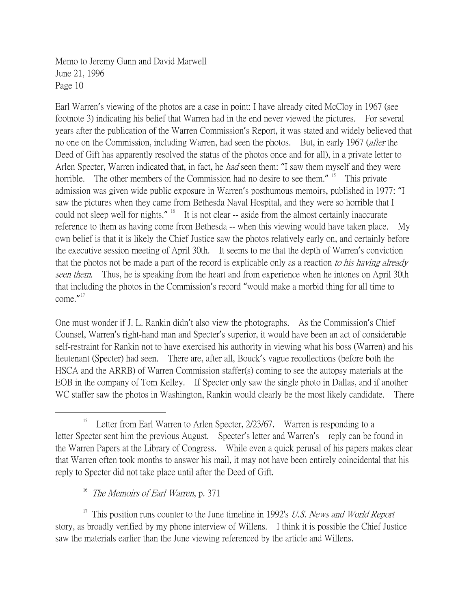Earl Warren's viewing of the photos are a case in point: I have already cited McCloy in 1967 (see footnote 3) indicating his belief that Warren had in the end never viewed the pictures. For several years after the publication of the Warren Commission's Report, it was stated and widely believed that no one on the Commission, including Warren, had seen the photos. But, in early 1967 (*after* the Deed of Gift has apparently resolved the status of the photos once and for all), in a private letter to Arlen Specter, Warren indicated that, in fact, he *had* seen them: "I saw them myself and they were horrible. The other members of the Commission had no desire to see them." <sup>[15](#page-9-0)</sup> This private admission was given wide public exposure in Warren's posthumous memoirs, published in 1977: "I saw the pictures when they came from Bethesda Naval Hospital, and they were so horrible that I could not sleep well for nights." <sup>[16](#page-9-1)</sup> It is not clear -- aside from the almost certainly inaccurate reference to them as having come from Bethesda -- when this viewing would have taken place. My own belief is that it is likely the Chief Justice saw the photos relatively early on, and certainly before the executive session meeting of April 30th. It seems to me that the depth of Warren's conviction that the photos not be made a part of the record is explicable only as a reaction to his having already seen them. Thus, he is speaking from the heart and from experience when he intones on April 30th that including the photos in the Commission's record "would make a morbid thing for all time to come." [17](#page-9-2)

One must wonder if J. L. Rankin didn't also view the photographs. As the Commission's Chief Counsel, Warren's right-hand man and Specter's superior, it would have been an act of considerable self-restraint for Rankin not to have exercised his authority in viewing what his boss (Warren) and his lieutenant (Specter) had seen. There are, after all, Bouck's vague recollections (before both the HSCA and the ARRB) of Warren Commission staffer(s) coming to see the autopsy materials at the EOB in the company of Tom Kelley. If Specter only saw the single photo in Dallas, and if another WC staffer saw the photos in Washington, Rankin would clearly be the most likely candidate. There

The Memoirs of Earl Warren, p. 371

<span id="page-9-2"></span><span id="page-9-1"></span><sup>17</sup> This position runs counter to the June timeline in 1992's U.S. News and World Report story, as broadly verified by my phone interview of Willens. I think it is possible the Chief Justice saw the materials earlier than the June viewing referenced by the article and Willens.

<span id="page-9-0"></span><sup>&</sup>lt;u>15</u> <sup>15</sup> Letter from Earl Warren to Arlen Specter,  $2/23/67$ . Warren is responding to a letter Specter sent him the previous August. Specter's letter and Warren's reply can be found in the Warren Papers at the Library of Congress. While even a quick perusal of his papers makes clear that Warren often took months to answer his mail, it may not have been entirely coincidental that his reply to Specter did not take place until after the Deed of Gift.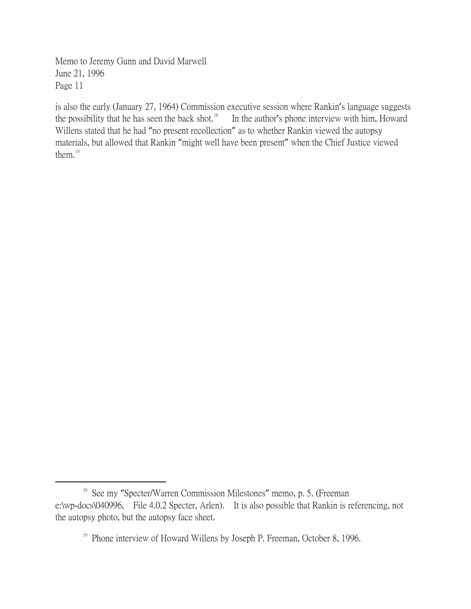is also the early (January 27, 1964) Commission executive session where Rankin's language suggests the possibility that he has seen the back shot.<sup>[18](#page-10-0)</sup> In the author's phone interview with him, Howard Willens stated that he had "no present recollection" as to whether Rankin viewed the autopsy materials, but allowed that Rankin "might well have been present" when the Chief Justice viewed them.<sup>[19](#page-10-1)</sup>

<span id="page-10-1"></span><span id="page-10-0"></span><sup>&</sup>lt;sup>18</sup> See my "Specter/Warren Commission Milestones" memo, p. 5. (Freeman e:\wp-docs\040996, File 4.0.2 Specter, Arlen). It is also possible that Rankin is referencing, not the autopsy photo, but the autopsy face sheet.

<sup>&</sup>lt;sup>19</sup> Phone interview of Howard Willens by Joseph P. Freeman, October 8, 1996.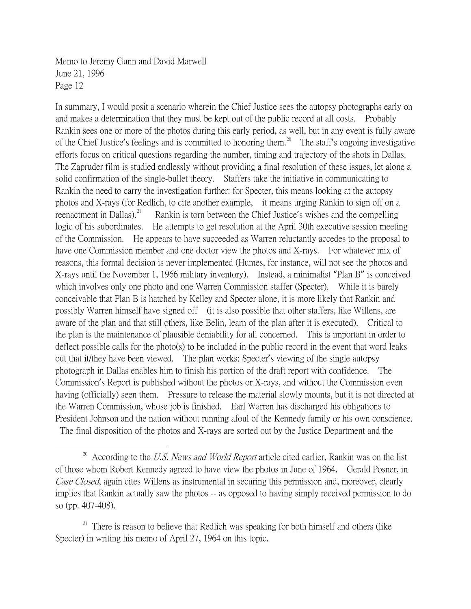In summary, I would posit a scenario wherein the Chief Justice sees the autopsy photographs early on and makes a determination that they must be kept out of the public record at all costs. Probably Rankin sees one or more of the photos during this early period, as well, but in any event is fully aware of the Chief Justice's feelings and is committed to honoring them.<sup>[20](#page-11-0)</sup> The staff's ongoing investigative efforts focus on critical questions regarding the number, timing and trajectory of the shots in Dallas. The Zapruder film is studied endlessly without providing a final resolution of these issues, let alone a solid confirmation of the single-bullet theory. Staffers take the initiative in communicating to Rankin the need to carry the investigation further: for Specter, this means looking at the autopsy photos and X-rays (for Redlich, to cite another example, it means urging Rankin to sign off on a reenactment in Dallas). $^{21}$  $^{21}$  $^{21}$  Rankin is torn between the Chief Justice's wishes and the compelling logic of his subordinates. He attempts to get resolution at the April 30th executive session meeting of the Commission. He appears to have succeeded as Warren reluctantly accedes to the proposal to have one Commission member and one doctor view the photos and X-rays. For whatever mix of reasons, this formal decision is never implemented (Humes, for instance, will not see the photos and X-rays until the November 1, 1966 military inventory). Instead, a minimalist "Plan B" is conceived which involves only one photo and one Warren Commission staffer (Specter). While it is barely conceivable that Plan B is hatched by Kelley and Specter alone, it is more likely that Rankin and possibly Warren himself have signed off (it is also possible that other staffers, like Willens, are aware of the plan and that still others, like Belin, learn of the plan after it is executed). Critical to the plan is the maintenance of plausible deniability for all concerned. This is important in order to deflect possible calls for the photo(s) to be included in the public record in the event that word leaks out that it/they have been viewed. The plan works: Specter's viewing of the single autopsy photograph in Dallas enables him to finish his portion of the draft report with confidence. The Commission's Report is published without the photos or X-rays, and without the Commission even having (officially) seen them. Pressure to release the material slowly mounts, but it is not directed at the Warren Commission, whose job is finished. Earl Warren has discharged his obligations to President Johnson and the nation without running afoul of the Kennedy family or his own conscience. The final disposition of the photos and X-rays are sorted out by the Justice Department and the

<span id="page-11-1"></span> $21$  There is reason to believe that Redlich was speaking for both himself and others (like Specter) in writing his memo of April 27, 1964 on this topic.

<span id="page-11-0"></span> $20$  According to the U.S. News and World Report article cited earlier, Rankin was on the list of those whom Robert Kennedy agreed to have view the photos in June of 1964. Gerald Posner, in Case Closed, again cites Willens as instrumental in securing this permission and, moreover, clearly implies that Rankin actually saw the photos -- as opposed to having simply received permission to do so (pp. 407-408).